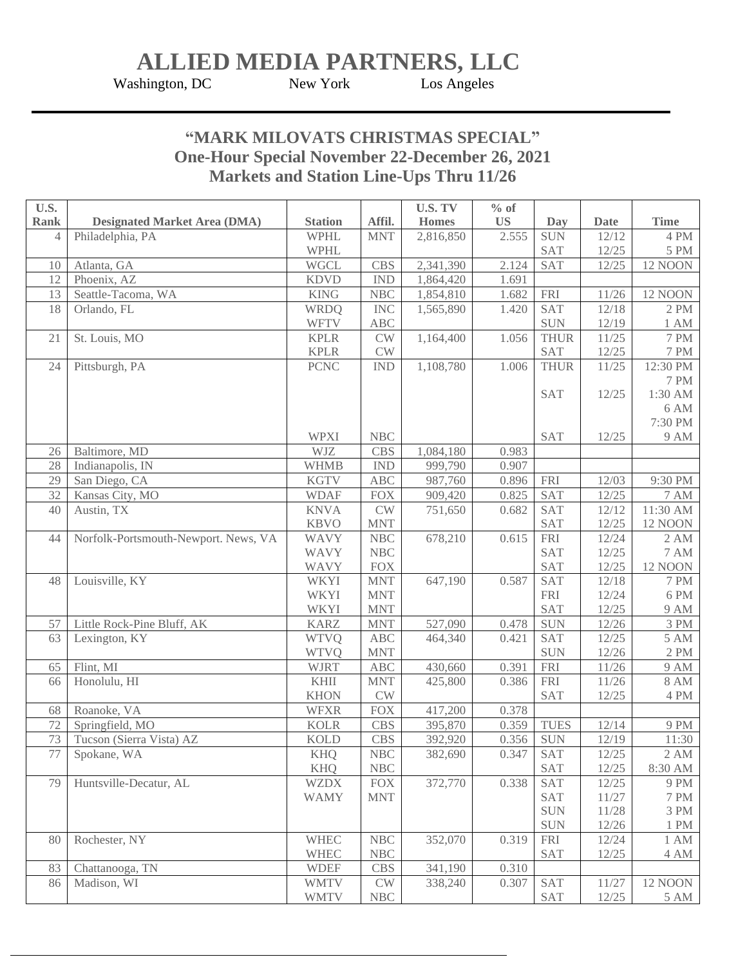## **ALLIED MEDIA PARTNERS, LLC**<br>shington, DC New York Los Angeles

Washington, DC

## **"MARK MILOVATS CHRISTMAS SPECIAL" One-Hour Special November 22-December 26, 2021 Markets and Station Line-Ups Thru 11/26**

| U.S.        |                                      |                |                      | <b>U.S. TV</b> | $%$ of    |             |             |                  |
|-------------|--------------------------------------|----------------|----------------------|----------------|-----------|-------------|-------------|------------------|
| <b>Rank</b> | <b>Designated Market Area (DMA)</b>  | <b>Station</b> | Affil.               | <b>Homes</b>   | <b>US</b> | <b>Day</b>  | <b>Date</b> | <b>Time</b>      |
| 4           | Philadelphia, PA                     | <b>WPHL</b>    | <b>MNT</b>           | 2,816,850      | 2.555     | <b>SUN</b>  | 12/12       | 4 PM             |
|             |                                      | <b>WPHL</b>    |                      |                |           | <b>SAT</b>  | 12/25       | 5 PM             |
| 10          | Atlanta, GA                          | <b>WGCL</b>    | CBS                  | 2,341,390      | 2.124     | <b>SAT</b>  | 12/25       | <b>12 NOON</b>   |
| 12          | Phoenix, AZ                          | <b>KDVD</b>    | <b>IND</b>           | 1,864,420      | 1.691     |             |             |                  |
| 13          | Seattle-Tacoma, WA                   | <b>KING</b>    | <b>NBC</b>           | 1,854,810      | 1.682     | <b>FRI</b>  | 11/26       | <b>12 NOON</b>   |
| 18          | Orlando, FL                          | <b>WRDQ</b>    | <b>INC</b>           | 1,565,890      | 1.420     | <b>SAT</b>  | 12/18       | 2 PM             |
|             |                                      | <b>WFTV</b>    | <b>ABC</b>           |                |           | <b>SUN</b>  | 12/19       | 1 AM             |
| 21          | St. Louis, MO                        | <b>KPLR</b>    | <b>CW</b>            | 1,164,400      | 1.056     | <b>THUR</b> | 11/25       | <b>7 PM</b>      |
|             |                                      | <b>KPLR</b>    | CW                   |                |           | <b>SAT</b>  | 12/25       | 7 PM             |
| 24          | Pittsburgh, PA                       | <b>PCNC</b>    | <b>IND</b>           | 1,108,780      | 1.006     | <b>THUR</b> | 11/25       | 12:30 PM         |
|             |                                      |                |                      |                |           |             |             | <b>7 PM</b>      |
|             |                                      |                |                      |                |           | <b>SAT</b>  | 12/25       | 1:30 AM          |
|             |                                      |                |                      |                |           |             |             | 6 AM             |
|             |                                      |                |                      |                |           |             |             | 7:30 PM          |
|             |                                      | <b>WPXI</b>    | NBC                  |                |           | SAT         | 12/25       | 9 AM             |
| 26          | Baltimore, MD                        | WJZ            | CBS                  | 1,084,180      | 0.983     |             |             |                  |
| 28          | Indianapolis, IN                     | <b>WHMB</b>    | <b>IND</b>           | 999,790        | 0.907     |             |             |                  |
| 29          | San Diego, CA                        | <b>KGTV</b>    | ABC                  | 987,760        | 0.896     | <b>FRI</b>  | 12/03       | 9:30 PM          |
| 32          | Kansas City, MO                      | <b>WDAF</b>    | <b>FOX</b>           | 909,420        | 0.825     | SAT         | 12/25       | $7\;\mathrm{AM}$ |
| 40          | Austin, TX                           | <b>KNVA</b>    | <b>CW</b>            | 751,650        | 0.682     | <b>SAT</b>  | 12/12       | 11:30 AM         |
|             |                                      | <b>KBVO</b>    | <b>MNT</b>           |                |           | <b>SAT</b>  | 12/25       | <b>12 NOON</b>   |
| 44          | Norfolk-Portsmouth-Newport. News, VA | <b>WAVY</b>    | NBC                  | 678,210        | 0.615     | ${\rm FRI}$ | 12/24       | 2 AM             |
|             |                                      | <b>WAVY</b>    | NBC                  |                |           | SAT         | 12/25       | <b>7 AM</b>      |
|             |                                      | <b>WAVY</b>    | <b>FOX</b>           |                |           | SAT         | 12/25       | <b>12 NOON</b>   |
| 48          | Louisville, KY                       | <b>WKYI</b>    | <b>MNT</b>           | 647,190        | 0.587     | <b>SAT</b>  | 12/18       | <b>7 PM</b>      |
|             |                                      | <b>WKYI</b>    | <b>MNT</b>           |                |           | <b>FRI</b>  | 12/24       | 6 PM             |
|             |                                      | <b>WKYI</b>    | <b>MNT</b>           |                |           | SAT         | 12/25       | 9 AM             |
| 57          | Little Rock-Pine Bluff, AK           | <b>KARZ</b>    | <b>MNT</b>           | 527,090        | 0.478     | SUN         | 12/26       | $3\ \mathrm{PM}$ |
| 63          | Lexington, KY                        | <b>WTVQ</b>    | ABC                  | 464,340        | 0.421     | <b>SAT</b>  | 12/25       | <b>5 AM</b>      |
|             |                                      | <b>WTVQ</b>    | <b>MNT</b>           |                |           | <b>SUN</b>  | 12/26       | 2 PM             |
| 65          | Flint, MI                            | <b>WJRT</b>    | ABC                  | 430,660        | 0.391     | ${\rm FRI}$ | 11/26       | <b>9 AM</b>      |
| 66          | Honolulu, HI                         | <b>KHII</b>    | <b>MNT</b>           | 425,800        | 0.386     | <b>FRI</b>  | 11/26       | <b>8 AM</b>      |
|             |                                      | <b>KHON</b>    | CW                   |                |           | <b>SAT</b>  | 12/25       | 4 PM             |
| 68          | Roanoke, VA                          | <b>WFXR</b>    | <b>FOX</b>           | 417,200        | 0.378     |             |             |                  |
| 72          | Springfield, MO                      | <b>KOLR</b>    | <b>CBS</b>           | 395,870        | 0.359     | <b>TUES</b> | 12/14       | 9 PM             |
| 73          | Tucson (Sierra Vista) AZ             | <b>KOLD</b>    | <b>CBS</b>           | 392,920        | 0.356     | <b>SUN</b>  | 12/19       | 11:30            |
| 77          | Spokane, WA                          | <b>KHQ</b>     | <b>NBC</b>           | 382,690        | 0.347     | <b>SAT</b>  | 12/25       | 2 AM             |
|             |                                      | <b>KHQ</b>     | $\operatorname{NBC}$ |                |           | <b>SAT</b>  | 12/25       | 8:30 AM          |
| 79          | Huntsville-Decatur, AL               | <b>WZDX</b>    | <b>FOX</b>           | 372,770        | 0.338     | <b>SAT</b>  | 12/25       | 9 PM             |
|             |                                      | <b>WAMY</b>    | <b>MNT</b>           |                |           | <b>SAT</b>  | 11/27       | <b>7 PM</b>      |
|             |                                      |                |                      |                |           | <b>SUN</b>  | 11/28       | 3 PM             |
|             |                                      |                |                      |                |           | <b>SUN</b>  | 12/26       | 1 PM             |
| 80          | Rochester, NY                        | <b>WHEC</b>    | $\operatorname{NBC}$ | 352,070        | 0.319     | <b>FRI</b>  | 12/24       | 1 AM             |
|             |                                      | <b>WHEC</b>    | $\operatorname{NBC}$ |                |           | SAT         | 12/25       | 4 AM             |
| 83          | Chattanooga, TN                      | <b>WDEF</b>    | CBS                  | 341,190        | 0.310     |             |             |                  |
| 86          | Madison, WI                          | <b>WMTV</b>    | $\mathrm{CW}$        | 338,240        | 0.307     | <b>SAT</b>  | 11/27       | <b>12 NOON</b>   |
|             |                                      | <b>WMTV</b>    | $\operatorname{NBC}$ |                |           | SAT         | 12/25       | 5 AM             |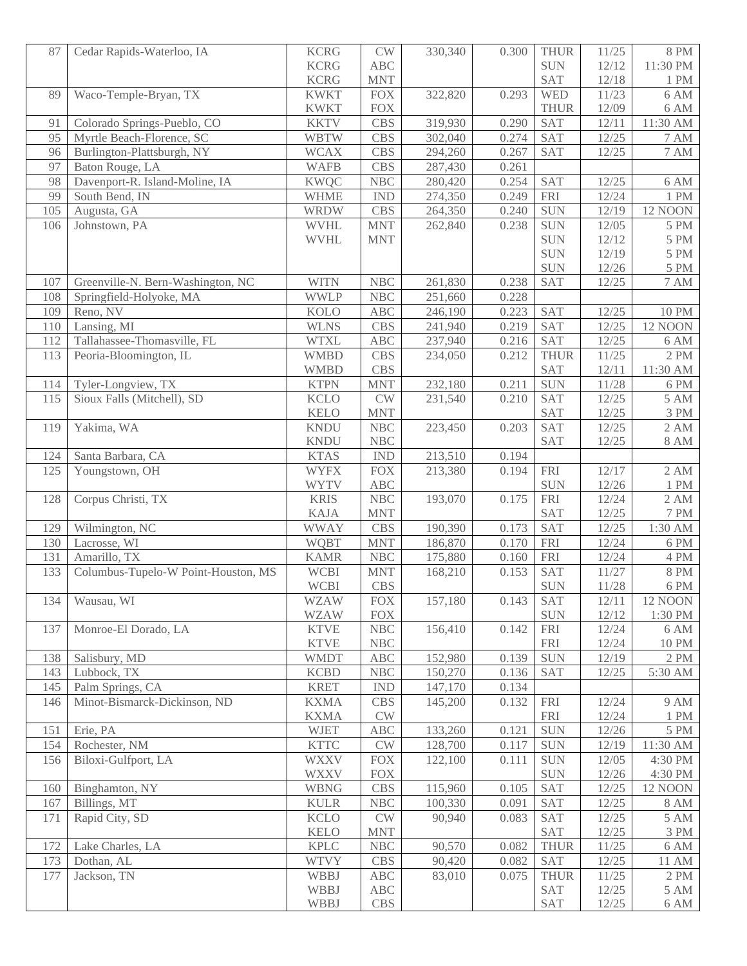| 87  | Cedar Rapids-Waterloo, IA           | <b>KCRG</b>                | $\mathrm{CW}$        | 330,340 | 0.300 | <b>THUR</b>              | 11/25          | <b>8 PM</b>               |
|-----|-------------------------------------|----------------------------|----------------------|---------|-------|--------------------------|----------------|---------------------------|
|     |                                     | <b>KCRG</b>                | ABC                  |         |       | <b>SUN</b>               | 12/12          | 11:30 PM                  |
|     |                                     | <b>KCRG</b>                | <b>MNT</b>           |         |       | SAT                      | $12/18$        | $1\ \mathrm{PM}$          |
| 89  | Waco-Temple-Bryan, TX               | <b>KWKT</b>                | <b>FOX</b>           | 322,820 | 0.293 | <b>WED</b>               | 11/23          | 6 AM                      |
|     |                                     | <b>KWKT</b>                | <b>FOX</b>           |         |       | <b>THUR</b>              | 12/09          | $6\;\mathrm{AM}$          |
| 91  | Colorado Springs-Pueblo, CO         | <b>KKTV</b>                | <b>CBS</b>           | 319,930 | 0.290 | <b>SAT</b>               | 12/11          | 11:30 AM                  |
| 95  | Myrtle Beach-Florence, SC           | <b>WBTW</b>                | <b>CBS</b>           | 302,040 | 0.274 | <b>SAT</b>               | 12/25          | <b>7 AM</b>               |
| 96  | Burlington-Plattsburgh, NY          | <b>WCAX</b>                | <b>CBS</b>           | 294,260 | 0.267 | <b>SAT</b>               | 12/25          | $\overline{7}$ AM         |
| 97  | Baton Rouge, LA                     | <b>WAFB</b>                | <b>CBS</b>           | 287,430 | 0.261 |                          |                |                           |
| 98  | Davenport-R. Island-Moline, IA      | <b>KWQC</b>                | <b>NBC</b>           | 280,420 | 0.254 | <b>SAT</b>               | 12/25          | $6\;\mathrm{AM}$          |
| 99  | South Bend, IN                      | <b>WHME</b>                | <b>IND</b>           | 274,350 | 0.249 | <b>FRI</b>               | 12/24          | 1 PM                      |
| 105 | Augusta, GA                         | <b>WRDW</b>                | <b>CBS</b>           | 264,350 | 0.240 | <b>SUN</b>               | 12/19          | <b>12 NOON</b>            |
| 106 | Johnstown, PA                       | <b>WVHL</b>                | <b>MNT</b>           | 262,840 | 0.238 | SUN                      | 12/05          | 5 PM                      |
|     |                                     | <b>WVHL</b>                | <b>MNT</b>           |         |       | <b>SUN</b>               | 12/12          | $5\ \mathrm{PM}$          |
|     |                                     |                            |                      |         |       | <b>SUN</b>               | 12/19          | 5 PM                      |
|     |                                     |                            |                      |         |       | <b>SUN</b>               | 12/26          | $5\ \mathrm{PM}$          |
| 107 | Greenville-N. Bern-Washington, NC   | <b>WITN</b>                | <b>NBC</b>           | 261,830 | 0.238 | <b>SAT</b>               | 12/25          | <b>7 AM</b>               |
| 108 | Springfield-Holyoke, MA             | <b>WWLP</b>                | <b>NBC</b>           | 251,660 | 0.228 |                          |                |                           |
| 109 | Reno, NV                            | <b>KOLO</b>                | <b>ABC</b>           | 246,190 | 0.223 | <b>SAT</b>               | 12/25          | <b>10 PM</b>              |
| 110 | Lansing, MI                         | <b>WLNS</b>                | <b>CBS</b>           | 241,940 | 0.219 | <b>SAT</b>               | 12/25          | <b>12 NOON</b>            |
| 112 | Tallahassee-Thomasville, FL         | <b>WTXL</b>                | <b>ABC</b>           | 237,940 | 0.216 | $\overline{SAT}$         | 12/25          | 6 AM                      |
| 113 | Peoria-Bloomington, IL              | <b>WMBD</b>                | <b>CBS</b>           | 234,050 | 0.212 | <b>THUR</b>              | 11/25          | 2 PM                      |
|     |                                     | <b>WMBD</b>                | <b>CBS</b>           |         |       | <b>SAT</b>               | 12/11          | $11:30$ AM $\,$           |
| 114 | Tyler-Longview, TX                  | <b>KTPN</b>                | <b>MNT</b>           | 232,180 | 0.211 | <b>SUN</b>               | 11/28          | 6 PM                      |
| 115 | Sioux Falls (Mitchell), SD          | <b>KCLO</b>                | <b>CW</b>            | 231,540 | 0.210 | SAT                      | 12/25          | 5 AM                      |
|     |                                     | <b>KELO</b>                | <b>MNT</b>           |         |       | SAT                      | 12/25          | 3 PM                      |
| 119 | Yakima, WA                          | <b>KNDU</b>                | <b>NBC</b>           | 223,450 | 0.203 | <b>SAT</b>               | 12/25          | 2 AM                      |
|     |                                     | <b>KNDU</b>                | <b>NBC</b>           |         |       | SAT                      | 12/25          | $8\;\mathrm{AM}$          |
| 124 | Santa Barbara, CA                   | <b>KTAS</b>                | <b>IND</b>           | 213,510 | 0.194 |                          |                |                           |
| 125 | Youngstown, OH                      | <b>WYFX</b>                | <b>FOX</b>           | 213,380 | 0.194 | <b>FRI</b>               | 12/17          | 2 AM                      |
|     | Corpus Christi, TX                  | <b>WYTV</b><br><b>KRIS</b> | <b>ABC</b><br>NBC    |         | 0.175 | <b>SUN</b><br><b>FRI</b> | 12/26<br>12/24 | $1$ $\mathrm{PM}$<br>2 AM |
| 128 |                                     | <b>KAJA</b>                | <b>MNT</b>           | 193,070 |       | <b>SAT</b>               | 12/25          | $7\ \mathrm{PM}$          |
| 129 | Wilmington, NC                      | <b>WWAY</b>                | <b>CBS</b>           | 190,390 | 0.173 | SAT                      | 12/25          | 1:30 AM                   |
| 130 | Lacrosse, WI                        | <b>WQBT</b>                | <b>MNT</b>           | 186,870 | 0.170 | <b>FRI</b>               | 12/24          | 6 PM                      |
| 131 | Amarillo, TX                        | <b>KAMR</b>                | NBC                  | 175,880 | 0.160 | <b>FRI</b>               | 12/24          | 4 PM                      |
| 133 | Columbus-Tupelo-W Point-Houston, MS | <b>WCBI</b>                | <b>MNT</b>           | 168,210 | 0.153 | <b>SAT</b>               | 11/27          | <b>8 PM</b>               |
|     |                                     | <b>WCBI</b>                | <b>CBS</b>           |         |       | <b>SUN</b>               | 11/28          | $6\ \mathrm{PM}$          |
| 134 | Wausau, WI                          | <b>WZAW</b>                | <b>FOX</b>           | 157,180 | 0.143 | SAT                      | 12/11          | <b>12 NOON</b>            |
|     |                                     | <b>WZAW</b>                | <b>FOX</b>           |         |       | <b>SUN</b>               | 12/12          | 1:30 PM                   |
| 137 | Monroe-El Dorado, LA                | <b>KTVE</b>                | $\operatorname{NBC}$ | 156,410 | 0.142 | <b>FRI</b>               | 12/24          | 6 AM                      |
|     |                                     | <b>KTVE</b>                | NBC                  |         |       | <b>FRI</b>               | 12/24          | 10 PM                     |
| 138 | Salisbury, MD                       | <b>WMDT</b>                | ABC                  | 152,980 | 0.139 | <b>SUN</b>               | 12/19          | 2 PM                      |
| 143 | Lubbock, TX                         | <b>KCBD</b>                | $\operatorname{NBC}$ | 150,270 | 0.136 | SAT                      | 12/25          | 5:30 AM                   |
| 145 | Palm Springs, CA                    | <b>KRET</b>                | <b>IND</b>           | 147,170 | 0.134 |                          |                |                           |
| 146 | Minot-Bismarck-Dickinson, ND        | <b>KXMA</b>                | <b>CBS</b>           | 145,200 | 0.132 | <b>FRI</b>               | 12/24          | <b>9 AM</b>               |
|     |                                     | <b>KXMA</b>                | CW                   |         |       | <b>FRI</b>               | 12/24          | 1 PM                      |
| 151 | Erie, PA                            | <b>WJET</b>                | ABC                  | 133,260 | 0.121 | <b>SUN</b>               | 12/26          | 5 PM                      |
| 154 | Rochester, NM                       | <b>KTTC</b>                | $\mathrm{CW}$        | 128,700 | 0.117 | <b>SUN</b>               | 12/19          | 11:30 AM                  |
| 156 | Biloxi-Gulfport, LA                 | <b>WXXV</b>                | $\overline{FOX}$     | 122,100 | 0.111 | <b>SUN</b>               | 12/05          | 4:30 PM                   |
|     |                                     | <b>WXXV</b>                | <b>FOX</b>           |         |       | <b>SUN</b>               | 12/26          | 4:30 PM                   |
| 160 | Binghamton, NY                      | <b>WBNG</b>                | <b>CBS</b>           | 115,960 | 0.105 | <b>SAT</b>               | 12/25          | <b>12 NOON</b>            |
| 167 | Billings, MT                        | <b>KULR</b>                | NBC                  | 100,330 | 0.091 | <b>SAT</b>               | 12/25          | 8 AM                      |
| 171 | Rapid City, SD                      | <b>KCLO</b>                | <b>CW</b>            | 90,940  | 0.083 | <b>SAT</b>               | 12/25          | 5 AM                      |
|     |                                     | <b>KELO</b>                | <b>MNT</b>           |         |       | <b>SAT</b>               | 12/25          | $3\ \mathrm{PM}$          |
| 172 | Lake Charles, LA                    | <b>KPLC</b>                | NBC                  | 90,570  | 0.082 | <b>THUR</b>              | 11/25          | 6 AM                      |
| 173 | Dothan, AL                          | <b>WTVY</b>                | <b>CBS</b>           | 90,420  | 0.082 | <b>SAT</b>               | 12/25          | 11 AM                     |
| 177 | Jackson, TN                         | WBBJ                       | ABC                  | 83,010  | 0.075 | <b>THUR</b>              | 11/25          | 2 PM                      |
|     |                                     | WBBJ                       | ABC                  |         |       | <b>SAT</b>               | 12/25          | <b>5 AM</b>               |
|     |                                     | WBBJ                       | <b>CBS</b>           |         |       | SAT                      | 12/25          | 6 AM                      |